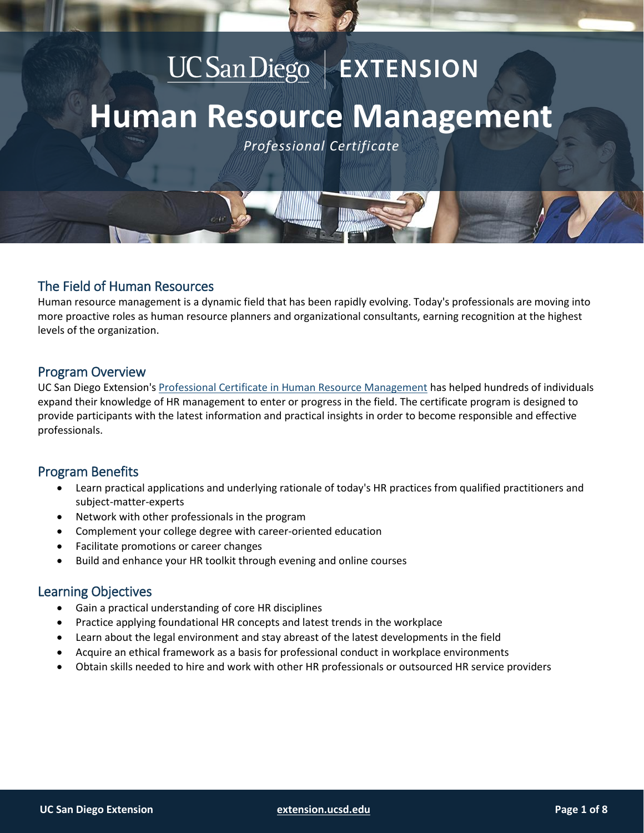# UC San Diego | EXTENSION **Human Resource Management** *Professional Certificate*

# The Field of Human Resources

Human resource management is a dynamic field that has been rapidly evolving. Today's professionals are moving into more proactive roles as human resource planners and organizational consultants, earning recognition at the highest levels of the organization.

# Program Overview

UC San Diego Extension's [Professional Certificate in Human Resource Management](https://extension.ucsd.edu/courses-and-programs/human-resource-management?utm_source=faq&utm_medium=pdf&utm_campaign=ced-bla-human-resource-management) has helped hundreds of individuals expand their knowledge of HR management to enter or progress in the field. The certificate program is designed to provide participants with the latest information and practical insights in order to become responsible and effective professionals.

# Program Benefits

- Learn practical applications and underlying rationale of today's HR practices from qualified practitioners and subject-matter-experts
- Network with other professionals in the program
- Complement your college degree with career-oriented education
- Facilitate promotions or career changes
- Build and enhance your HR toolkit through evening and online courses

# Learning Objectives

- Gain a practical understanding of core HR disciplines
- Practice applying foundational HR concepts and latest trends in the workplace
- Learn about the legal environment and stay abreast of the latest developments in the field
- Acquire an ethical framework as a basis for professional conduct in workplace environments
- Obtain skills needed to hire and work with other HR professionals or outsourced HR service providers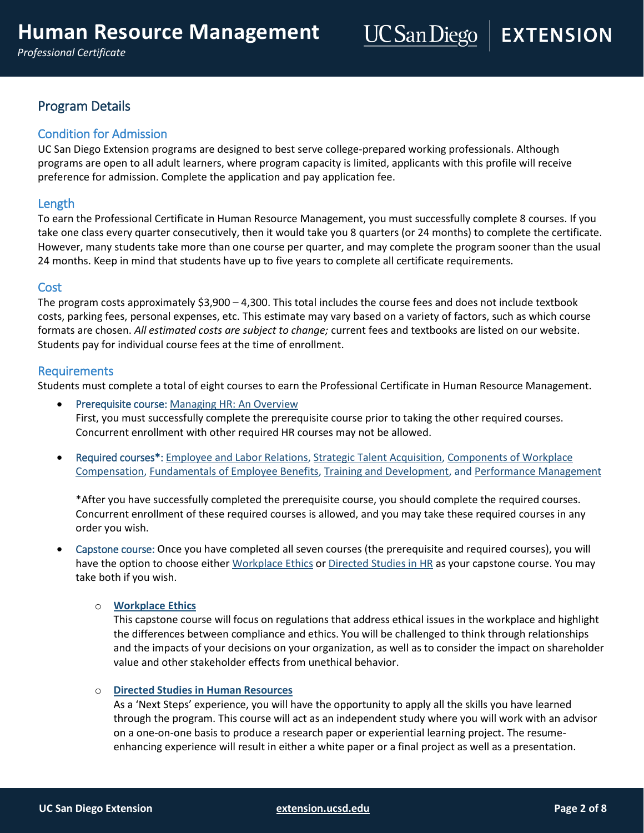# Program Details

# Condition for Admission

UC San Diego Extension programs are designed to best serve college-prepared working professionals. Although programs are open to all adult learners, where program capacity is limited, applicants with this profile will receive preference for admission. Complete the application and pay application fee.

# Length

To earn the Professional Certificate in Human Resource Management, you must successfully complete 8 courses. If you take one class every quarter consecutively, then it would take you 8 quarters (or 24 months) to complete the certificate. However, many students take more than one course per quarter, and may complete the program sooner than the usual 24 months. Keep in mind that students have up to five years to complete all certificate requirements.

# Cost

The program costs approximately  $$3,900 - 4,300$ . This total includes the course fees and does not include textbook costs, parking fees, personal expenses, etc. This estimate may vary based on a variety of factors, such as which course formats are chosen. *All estimated costs are subject to change;* current fees and textbooks are listed on our website. Students pay for individual course fees at the time of enrollment.

# Requirements

Students must complete a total of eight courses to earn the Professional Certificate in Human Resource Management.

- **•** Prerequisite course: [Managing HR: An Overview](https://extension.ucsd.edu/courses-and-programs/managing-human-resources-an-overview?utm_source=faq&utm_medium=pdf&utm_campaign=ced-bla-human-resource-management) First, you must successfully complete the prerequisite course prior to taking the other required courses. Concurrent enrollment with other required HR courses may not be allowed.
- Required courses\*: [Employee and Labor Relations,](https://extension.ucsd.edu/courses-and-programs/employee-and-labor-relations?utm_source=faq&utm_medium=pdf&utm_campaign=ced-bla-human-resource-management) [Strategic Talent Acquisition,](https://extension.ucsd.edu/courses-and-programs/strategic-talent-acquisition?utm_source=faq&utm_medium=pdf&utm_campaign=ced-bla-human-resource-management) [Components of Workplace](https://extension.ucsd.edu/courses-and-programs/components-of-workplace-compensation?utm_source=faq&utm_medium=pdf&utm_campaign=ced-bla-human-resource-management)  [Compensation,](https://extension.ucsd.edu/courses-and-programs/components-of-workplace-compensation?utm_source=faq&utm_medium=pdf&utm_campaign=ced-bla-human-resource-management) [Fundamentals of Employee Benefits,](https://extension.ucsd.edu/courses-and-programs/fundamentals-of-employee-benefits?utm_source=faq&utm_medium=pdf&utm_campaign=ced-bla-human-resource-management) [Training and Development,](https://extension.ucsd.edu/courses-and-programs/training-and-development?utm_source=faq&utm_medium=pdf&utm_campaign=ced-bla-human-resource-management) and [Performance Management](https://extension.ucsd.edu/courses-and-programs/performance-management?utm_source=faq&utm_medium=pdf&utm_campaign=ced-bla-human-resource-management)

\*After you have successfully completed the prerequisite course, you should complete the required courses. Concurrent enrollment of these required courses is allowed, and you may take these required courses in any order you wish.

 Capstone course: Once you have completed all seven courses (the prerequisite and required courses), you will have the option to choose either [Workplace Ethics](https://extension.ucsd.edu/courses-and-programs/workplace-ethics?utm_source=faq&utm_medium=pdf&utm_campaign=ced-bla-human-resource-management) o[r Directed Studies in HR](https://extension.ucsd.edu/courses-and-programs/directed-studies-in-human-resources?utm_source=faqs&utm_medium=pdf&utm_campaign=bst-hr-management) as your capstone course. You may take both if you wish.

#### o **[Workplace Ethics](https://extension.ucsd.edu/courses-and-programs/workplace-ethics?utm_source=faq&utm_medium=pdf&utm_campaign=ced-bla-human-resource-management)**

This capstone course will focus on regulations that address ethical issues in the workplace and highlight the differences between compliance and ethics. You will be challenged to think through relationships and the impacts of your decisions on your organization, as well as to consider the impact on shareholder value and other stakeholder effects from unethical behavior.

#### o **[Directed Studies in Human Resources](https://extension.ucsd.edu/courses-and-programs/directed-studies-in-human-resources?utm_source=faq&utm_medium=pdf&utm_campaign=ced-bla-human-resource-management)**

As a 'Next Steps' experience, you will have the opportunity to apply all the skills you have learned through the program. This course will act as an independent study where you will work with an advisor on a one-on-one basis to produce a research paper or experiential learning project. The resumeenhancing experience will result in either a white paper or a final project as well as a presentation.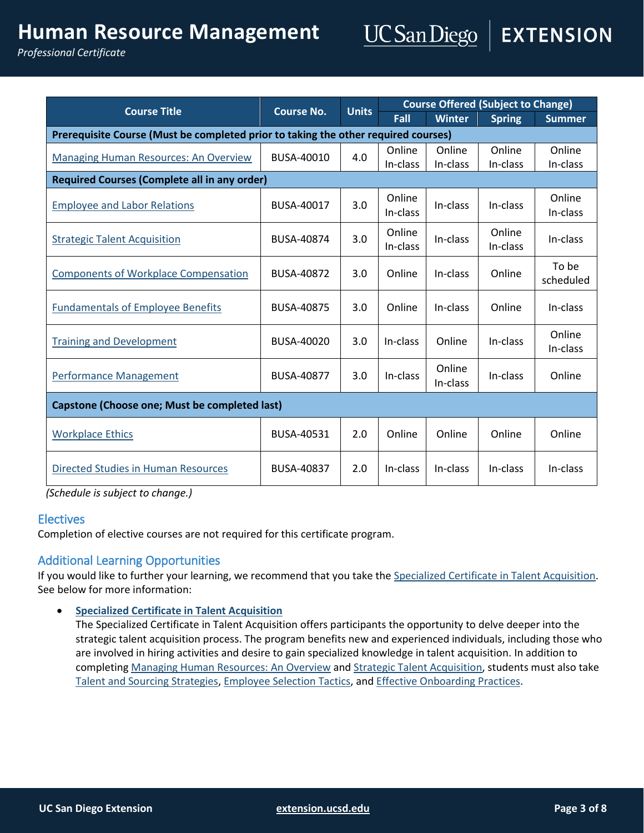# **Human Resource Management**

*Professional Certificate*

| <b>Course Title</b>                                                                | <b>Course No.</b> | <b>Units</b> | <b>Course Offered (Subject to Change)</b> |               |               |               |
|------------------------------------------------------------------------------------|-------------------|--------------|-------------------------------------------|---------------|---------------|---------------|
|                                                                                    |                   |              | Fall                                      | <b>Winter</b> | <b>Spring</b> | <b>Summer</b> |
| Prerequisite Course (Must be completed prior to taking the other required courses) |                   |              |                                           |               |               |               |
| <b>Managing Human Resources: An Overview</b>                                       | BUSA-40010        | 4.0          | Online                                    | Online        | Online        | Online        |
|                                                                                    |                   |              | In-class                                  | In-class      | In-class      | In-class      |
| <b>Required Courses (Complete all in any order)</b>                                |                   |              |                                           |               |               |               |
| <b>Employee and Labor Relations</b>                                                | BUSA-40017        | 3.0          | Online                                    | In-class      | In-class      | Online        |
|                                                                                    |                   |              | In-class                                  |               |               | In-class      |
| <b>Strategic Talent Acquisition</b>                                                | BUSA-40874        | 3.0          | Online                                    | In-class      | Online        | In-class      |
|                                                                                    |                   |              | In-class                                  |               | In-class      |               |
| <b>Components of Workplace Compensation</b>                                        | <b>BUSA-40872</b> | 3.0          |                                           | In-class      | Online        | To be         |
|                                                                                    |                   |              | Online                                    |               |               | scheduled     |
| <b>Fundamentals of Employee Benefits</b>                                           | BUSA-40875        | 3.0          | Online                                    | In-class      | Online        | In-class      |
|                                                                                    |                   |              |                                           |               |               |               |
| <b>Training and Development</b>                                                    | BUSA-40020        | 3.0          | In-class                                  | Online        | In-class      | Online        |
|                                                                                    |                   |              |                                           |               |               | In-class      |
|                                                                                    |                   |              |                                           | Online        |               |               |
| <b>Performance Management</b>                                                      | <b>BUSA-40877</b> | 3.0          | In-class                                  | In-class      | In-class      | Online        |
| <b>Capstone (Choose one; Must be completed last)</b>                               |                   |              |                                           |               |               |               |
|                                                                                    |                   |              |                                           |               |               |               |
| <b>Workplace Ethics</b>                                                            | BUSA-40531        | 2.0          | Online                                    | Online        | Online        | Online        |
|                                                                                    |                   |              |                                           |               |               |               |
| Directed Studies in Human Resources                                                | BUSA-40837        | 2.0          | In-class                                  | In-class      | In-class      | In-class      |
|                                                                                    |                   |              |                                           |               |               |               |

*(Schedule is subject to change.)*

#### **Electives**

Completion of elective courses are not required for this certificate program.

# Additional Learning Opportunities

If you would like to further your learning, we recommend that you take th[e Specialized Certificate in Talent Acquisition.](https://extension.ucsd.edu/courses-and-programs/talent-acquisition?utm_source=faq&utm_medium=pdf&utm_campaign=ced-bla-talent-acquisition&utm_content=hr-faq) See below for more information:

**[Specialized Certificate in Talent Acquisition](https://extension.ucsd.edu/courses-and-programs/talent-acquisition?utm_source=faq&utm_medium=pdf&utm_campaign=ced-bla-talent-acquisition&utm_content=hr-faq)**

The Specialized Certificate in Talent Acquisition offers participants the opportunity to delve deeper into the strategic talent acquisition process. The program benefits new and experienced individuals, including those who are involved in hiring activities and desire to gain specialized knowledge in talent acquisition. In addition to completin[g Managing Human Resources: An Overview](https://extension.ucsd.edu/courses-and-programs/managing-human-resources-an-overview?utm_source=faq&utm_medium=pdf&utm_campaign=ced-bla-human-resource-management) and [Strategic Talent Acquisition,](https://extension.ucsd.edu/courses-and-programs/strategic-talent-acquisition?utm_source=faq&utm_medium=pdf&utm_campaign=ced-bla-human-resource-management) students must also take [Talent and Sourcing Strategies,](https://extension.ucsd.edu/courses-and-programs/talent-and-sourcing-strategies?utm_source=faq&utm_medium=pdf&utm_campaign=ced-bla-talent-acquisition&utm_content=hr-faq) [Employee Selection Tactics,](https://extension.ucsd.edu/courses-and-programs/employee-selection-tactics?utm_source=faq&utm_medium=pdf&utm_campaign=ced-bla-talent-acquisition&utm_content=hr-faq) and [Effective Onboarding Practices.](https://extension.ucsd.edu/courses-and-programs/effective-onboarding-practices?utm_source=faq&utm_medium=pdf&utm_campaign=ced-bla-talent-acquisition&utm_content=hr-faq)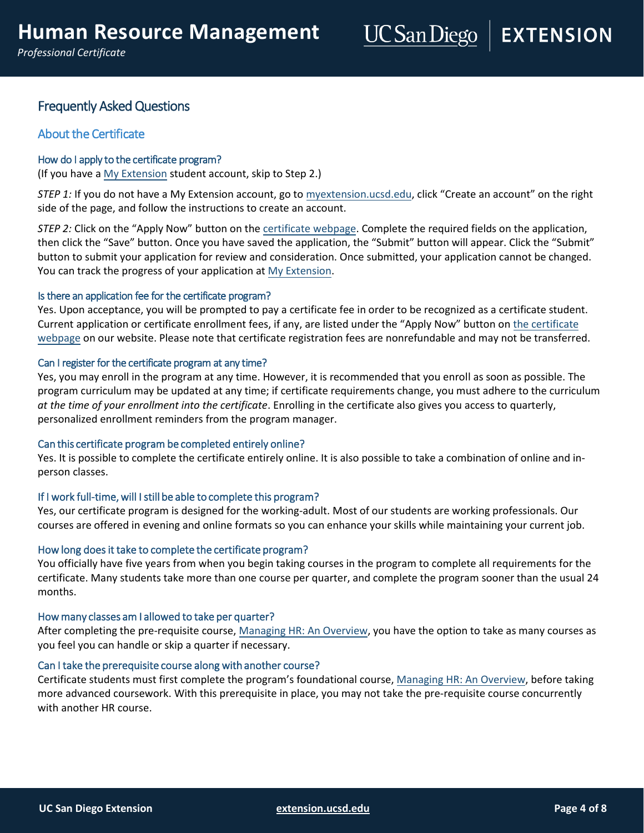# Frequently Asked Questions

# About the Certificate

#### How do I apply to the certificate program?

(If you have [a My Extension](https://myextension.ucsd.edu/) student account, skip to Step 2.)

*STEP 1:* If you do not have a My Extension account, go to [myextension.ucsd.edu](https://myextension.ucsd.edu/), click "Create an account" on the right side of the page, and follow the instructions to create an account.

*STEP 2:* Click on the "Apply Now" button on the [certificate webpage.](https://extension.ucsd.edu/courses-and-programs/human-resource-management?utm_source=faq&utm_medium=pdf&utm_campaign=ced-bla-human-resource-management) Complete the required fields on the application, then click the "Save" button. Once you have saved the application, the "Submit" button will appear. Click the "Submit" button to submit your application for review and consideration. Once submitted, your application cannot be changed. You can track the progress of your application at [My Extension.](https://myextension.ucsd.edu/)

#### Is there an application fee for the certificate program?

Yes. Upon acceptance, you will be prompted to pay a certificate fee in order to be recognized as a certificate student. Current application or certificate enrollment fees, if any, are listed under the "Apply Now" button on [the certificate](https://extension.ucsd.edu/courses-and-programs/human-resource-management?utm_source=faq&utm_medium=pdf&utm_campaign=ced-bla-human-resource-management)  [webpage](https://extension.ucsd.edu/courses-and-programs/human-resource-management?utm_source=faq&utm_medium=pdf&utm_campaign=ced-bla-human-resource-management) on our website. Please note that certificate registration fees are nonrefundable and may not be transferred.

#### Can I register for the certificate program at any time?

Yes, you may enroll in the program at any time. However, it is recommended that you enroll as soon as possible. The program curriculum may be updated at any time; if certificate requirements change, you must adhere to the curriculum *at the time of your enrollment into the certificate*. Enrolling in the certificate also gives you access to quarterly, personalized enrollment reminders from the program manager.

#### Can this certificate program be completed entirely online?

Yes. It is possible to complete the certificate entirely online. It is also possible to take a combination of online and inperson classes.

#### If I work full-time, will I still be able to complete this program?

Yes, our certificate program is designed for the working-adult. Most of our students are working professionals. Our courses are offered in evening and online formats so you can enhance your skills while maintaining your current job.

#### How long does it take to complete the certificate program?

You officially have five years from when you begin taking courses in the program to complete all requirements for the certificate. Many students take more than one course per quarter, and complete the program sooner than the usual 24 months.

#### How many classes am I allowed to take per quarter?

After completing the pre-requisite course, Managing HR: An Overview, you have the option to take as many courses as you feel you can handle or skip a quarter i[f necessary.](https://extension.ucsd.edu/courses-and-programs/managing-human-resources-an-overview?utm_source=faq&utm_medium=pdf&utm_campaign=ced-bla-human-resource-management) 

#### Can I take the prerequisite course along with another course?

Certificate students must first complete the program's foundational course, Managing HR: An Overview, before taking more advanced coursework. With this prerequisite in place, you may not ta[ke the pre-requisite course c](https://extension.ucsd.edu/courses-and-programs/managing-human-resources-an-overview?utm_source=faq&utm_medium=pdf&utm_campaign=ced-bla-human-resource-management)oncurrently with another HR course.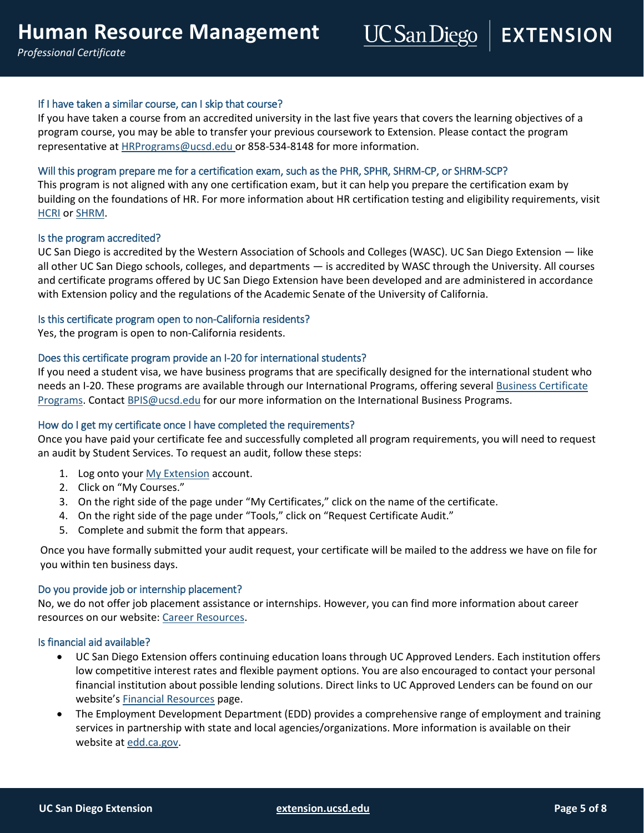#### If I have taken a similar course, can I skip that course?

If you have taken a course from an accredited university in the last five years that covers the learning objectives of a program course, you may be able to transfer your previous coursework to Extension. Please contact the program representative a[t HRPrograms@ucsd.edu](mailto:HRPrograms@ucsd.edu) or 858-534-8148 for more information.

#### Will this program prepare me for a certification exam, such as the PHR, SPHR, SHRM-CP, or SHRM-SCP?

This program is not aligned with any one certification exam, but it can help you prepare the certification exam by building on the foundations of HR. For more information about HR certification testing and eligibility requirements, visit **[HCRI](https://www.hrci.org/)** or [SHRM.](https://shrm.org/)

#### Is the program accredited?

UC San Diego is accredited by the Western Association of Schools and Colleges (WASC). UC San Diego Extension — like all other UC San Diego schools, colleges, and departments — is accredited by WASC through the University. All courses and certificate programs offered by UC San Diego Extension have been developed and are administered in accordance with Extension policy and the regulations of the Academic Senate of the University of California.

#### Is this certificate program open to non-California residents?

Yes, the program is open to non-California residents.

#### Does this certificate program provide an I-20 for international students?

If you need a student visa, we have business programs that are specifically designed for the international student who needs an I-20. These programs are available through our International Programs, offering several Business Certificate [Programs.](https://extension.ucsd.edu/courses-and-programs/international-programs/certificate-programs-for-international-students?utm_source=faq&utm_medium=pdf&utm_campaign=ced-int-international-programs/certificate-programs-for-international-students&utm_content=hr-faq) Contact [BPIS@ucsd.edu](mailto:BPIS@ucsd.edu) for our more information on the International Business Programs.

#### How do I get my certificate once I have completed the requirements?

Once you have paid your certificate fee and successfully completed all program requirements, you will need to request an audit by Student Services. To request an audit, follow these steps:

- 1. Log onto your [My Extension](https://myextension.ucsd.edu/) account.
- 2. Click on "My Courses."
- 3. On the right side of the page under "My Certificates," click on the name of the certificate.
- 4. On the right side of the page under "Tools," click on "Request Certificate Audit."
- 5. Complete and submit the form that appears.

Once you have formally submitted your audit request, your certificate will be mailed to the address we have on file for you within ten business days.

#### Do you provide job or internship placement?

No, we do not offer job placement assistance or internships. However, you can find more information about career resources on our website[: Career Resources.](https://extension.ucsd.edu/student-resources/Career-Resources)

#### Is financial aid available?

- UC San Diego Extension offers continuing education loans through UC Approved Lenders. Each institution offers low competitive interest rates and flexible payment options. You are also encouraged to contact your personal financial institution about possible lending solutions. Direct links to UC Approved Lenders can be found on our website's [Financial Resources](https://extension.ucsd.edu/student-resources/financial-resources) page.
- The Employment Development Department (EDD) provides a comprehensive range of employment and training services in partnership with state and local agencies/organizations. More information is available on their website at [edd.ca.gov.](http://edd.ca.gov/)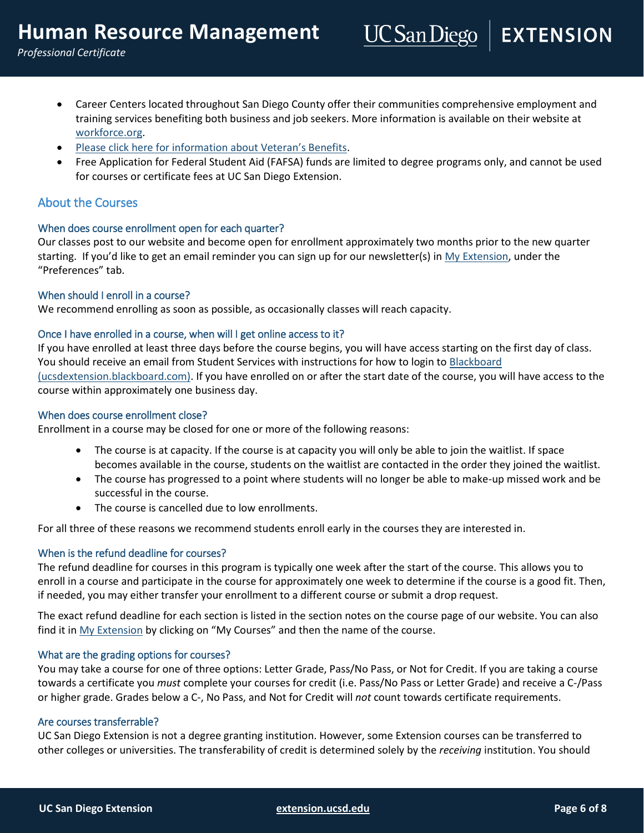- Career Centers located throughout San Diego County offer their communities comprehensive employment and training services benefiting both business and job seekers. More information is available on their website at [workforce.org.](http://workforce.org/)
- [Please click here for information about Veteran's Benefits](https://extension.ucsd.edu/student-resources/veterans-education-benefits).
- Free Application for Federal Student Aid (FAFSA) funds are limited to degree programs only, and cannot be used for courses or certificate fees at UC San Diego Extension.

#### About the Courses

#### When does course enrollment open for each quarter?

Our classes post to our website and become open for enrollment approximately two months prior to the new quarter starting. If you'd like to get an email reminder you can sign up for our newsletter(s) in [My Extension,](https://myextension.ucsd.edu/) under the "Preferences" tab.

#### When should I enroll in a course?

We recommend enrolling as soon as possible, as occasionally classes will reach capacity.

#### Once I have enrolled in a course, when will I get online access to it?

If you have enrolled at least three days before the course begins, you will have access starting on the first day of class. You should receive an email from Student Services with instructions for how to login to Blackboard [\(ucsdextension.blackboard.com\).](https://ucsdextension.blackboard.com/webapps/portal/execute/tabs/tabAction?tab_tab_group_id=_14_1) If you have enrolled on or after the start date of the course, you will have access to the course within approximately one business day.

#### When does course enrollment close?

Enrollment in a course may be closed for one or more of the following reasons:

- The course is at capacity. If the course is at capacity you will only be able to join the waitlist. If space becomes available in the course, students on the waitlist are contacted in the order they joined the waitlist.
- The course has progressed to a point where students will no longer be able to make-up missed work and be successful in the course.
- The course is cancelled due to low enrollments.

For all three of these reasons we recommend students enroll early in the courses they are interested in.

#### When is the refund deadline for courses?

The refund deadline for courses in this program is typically one week after the start of the course. This allows you to enroll in a course and participate in the course for approximately one week to determine if the course is a good fit. Then, if needed, you may either transfer your enrollment to a different course or submit a drop request.

The exact refund deadline for each section is listed in the section notes on the course page of our website. You can also find it i[n My Extension](https://myextension.ucsd.edu/) by clicking on "My Courses" and then the name of the course.

#### What are the grading options for courses?

You may take a course for one of three options: Letter Grade, Pass/No Pass, or Not for Credit. If you are taking a course towards a certificate you *must* complete your courses for credit (i.e. Pass/No Pass or Letter Grade) and receive a C-/Pass or higher grade. Grades below a C-, No Pass, and Not for Credit will *not* count towards certificate requirements.

#### Are courses transferrable?

UC San Diego Extension is not a degree granting institution. However, some Extension courses can be transferred to other colleges or universities. The transferability of credit is determined solely by the *receiving* institution. You should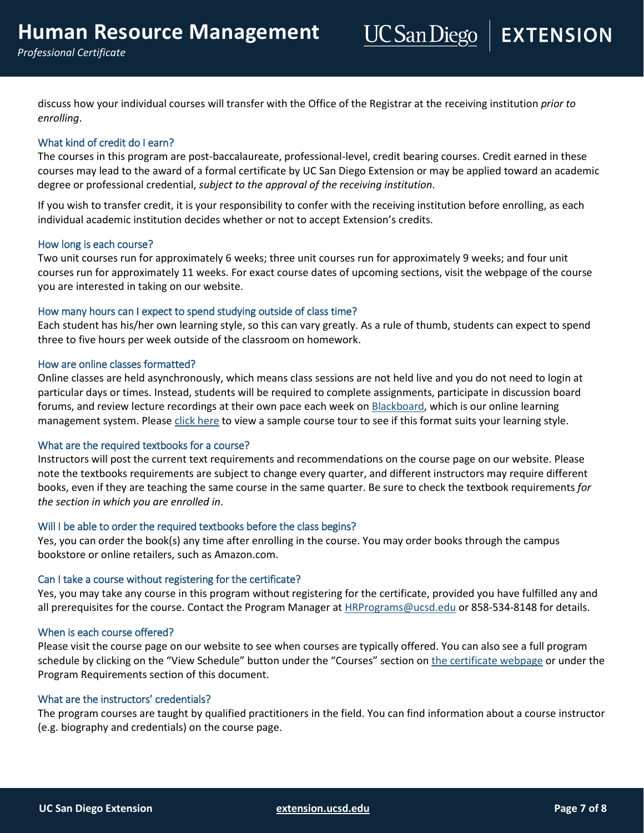discuss how your individual courses will transfer with the Office of the Registrar at the receiving institution *prior to enrolling*.

#### What kind of credit do I earn?

The courses in this program are post-baccalaureate, professional-level, credit bearing courses. Credit earned in these courses may lead to the award of a formal certificate by UC San Diego Extension or may be applied toward an academic degree or professional credential, *subject to the approval of the receiving institution*.

If you wish to transfer credit, it is your responsibility to confer with the receiving institution before enrolling, as each individual academic institution decides whether or not to accept Extension's credits.

#### How long is each course?

Two unit courses run for approximately 6 weeks; three unit courses run for approximately 9 weeks; and four unit courses run for approximately 11 weeks. For exact course dates of upcoming sections, visit the webpage of the course you are interested in taking on our website.

#### How many hours can I expect to spend studying outside of class time?

Each student has his/her own learning style, so this can vary greatly. As a rule of thumb, students can expect to spend three to five hours per week outside of the classroom on homework.

#### How are online classes formatted?

Online classes are held asynchronously, which means class sessions are not held live and you do not need to login at particular days or times. Instead, students will be required to complete assignments, participate in discussion board forums, and review lecture recordings at their own pace each week o[n Blackboard,](https://ucsdextension.blackboard.com/webapps/portal/execute/tabs/tabAction?tab_tab_group_id=_14_1) which is our online learning management system. Please [click here](http://onlinex.ucsd.edu/onlinelearning/students/Course_structure/Course_structure.html) to view a sample course tour to see if this format suits your learning style.

#### What are the required textbooks for a course?

Instructors will post the current text requirements and recommendations on the course page on our website. Please note the textbooks requirements are subject to change every quarter, and different instructors may require different books, even if they are teaching the same course in the same quarter. Be sure to check the textbook requirements *for the section in which you are enrolled in*.

#### Will I be able to order the required textbooks before the class begins?

Yes, you can order the book(s) any time after enrolling in the course. You may order books through the campus bookstore or online retailers, such as Amazon.com.

#### Can I take a course without registering for the certificate?

Yes, you may take any course in this program without registering for the certificate, provided you have fulfilled any and all prerequisites for the course. Contact the Program Manager a[t HRPrograms@ucsd.edu](mailto:HRPrograms@ucsd.edu) or 858-534-8148 for details.

#### When is each course offered?

Please visit the course page on our website to see when courses are typically offered. You can also see a full program schedule by clicking on the "View Schedule" button under the "Courses" section on [the certificate webpage](https://extension.ucsd.edu/courses-and-programs/human-resource-management?utm_source=faq&utm_medium=pdf&utm_campaign=ced-bla-human-resource-management) or under the Program Requirements section of this document.

#### What are the instructors' credentials?

The program courses are taught by qualified practitioners in the field. You can find information about a course instructor (e.g. biography and credentials) on the course page.